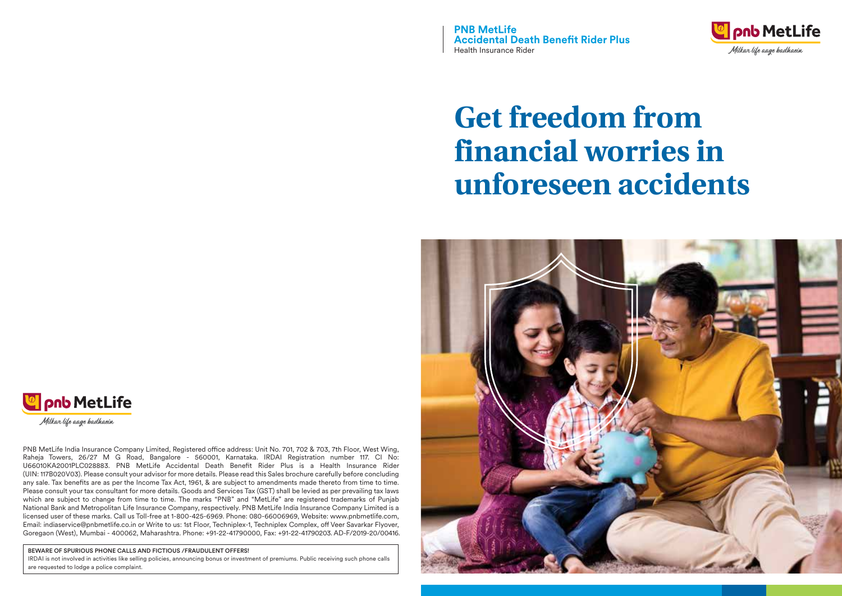**PNB MetLife Accidental Death Benefit Rider Plus** Health Insurance Rider



# **Get freedom from financial worries in unforeseen accidents**





Milkar life aage badhaein

PNB MetLife India Insurance Company Limited, Registered office address: Unit No. 701, 702 & 703, 7th Floor, West Wing, Raheja Towers, 26/27 M G Road, Bangalore - 560001, Karnataka. IRDAI Registration number 117. CI No: U66010KA2001PLC028883. PNB MetLife Accidental Death Benefit Rider Plus is a Health Insurance Rider (UIN: 117B020V03). Please consult your advisor for more details. Please read this Sales brochure carefully before concluding any sale. Tax benefits are as per the Income Tax Act, 1961, & are subject to amendments made thereto from time to time. Please consult your tax consultant for more details. Goods and Services Tax (GST) shall be levied as per prevailing tax laws which are subject to change from time to time. The marks "PNB" and "MetLife" are registered trademarks of Punjab National Bank and Metropolitan Life Insurance Company, respectively. PNB MetLife India Insurance Company Limited is a licensed user of these marks. Call us Toll-free at 1-800-425-6969. Phone: 080-66006969, Website: www.pnbmetlife.com, Email: indiaservice@pnbmetlife.co.in or Write to us: 1st Floor, Techniplex-1, Techniplex Complex, off Veer Savarkar Flyover, Goregaon (West), Mumbai - 400062, Maharashtra. Phone: +91-22-41790000, Fax: +91-22-41790203. AD-F/2019-20/00416.

BEWARE OF SPURIOUS PHONE CALLS AND FICTIOUS /FRAUDULENT OFFERS!

IRDAI is not involved in activities like selling policies, announcing bonus or investment of premiums. Public receiving such phone calls are requested to lodge a police complaint.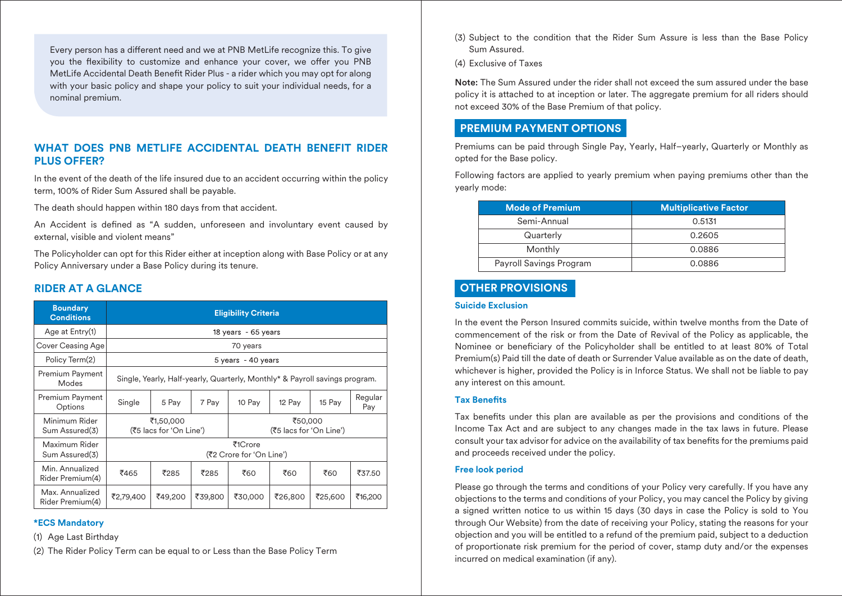Every person has a different need and we at PNB MetLife recognize this. To give you the flexibility to customize and enhance your cover, we offer you PNB MetLife Accidental Death Benefit Rider Plus - a rider which you may opt for along with your basic policy and shape your policy to suit your individual needs, for a nominal premium.

# **WHAT DOES PNB METLIFE ACCIDENTAL DEATH BENEFIT RIDER PLUS OFFER?**

In the event of the death of the life insured due to an accident occurring within the policy term, 100% of Rider Sum Assured shall be payable.

The death should happen within 180 days from that accident.

An Accident is defined as "A sudden, unforeseen and involuntary event caused by external, visible and violent means"

The Policyholder can opt for this Rider either at inception along with Base Policy or at any Policy Anniversary under a Base Policy during its tenure.

# **RIDER AT A GLANCE**

| <b>Boundary</b><br><b>Conditions</b> | <b>Eligibility Criteria</b>                                                 |         |         |                                    |         |         |                |
|--------------------------------------|-----------------------------------------------------------------------------|---------|---------|------------------------------------|---------|---------|----------------|
| Age at Entry(1)                      | 18 years - 65 years                                                         |         |         |                                    |         |         |                |
| Cover Ceasing Age                    | 70 years                                                                    |         |         |                                    |         |         |                |
| Policy Term(2)                       | 5 years - 40 years                                                          |         |         |                                    |         |         |                |
| Premium Payment<br>Modes             | Single, Yearly, Half-yearly, Quarterly, Monthly* & Payroll savings program. |         |         |                                    |         |         |                |
| Premium Payment<br>Options           | Single                                                                      | 5 Pay   | 7 Pay   | 10 Pay                             | 12 Pay  | 15 Pay  | Regular<br>Pay |
| Minimum Rider<br>Sum Assured(3)      | ₹1,50,000<br>(₹5 lacs for 'On Line')                                        |         |         | ₹50,000<br>(₹5 lacs for 'On Line') |         |         |                |
| Maximum Rider<br>Sum Assured(3)      | ₹1Crore<br>(₹2 Crore for 'On Line')                                         |         |         |                                    |         |         |                |
| Min. Annualized<br>Rider Premium(4)  | ₹465                                                                        | ₹285    | ₹285    | ₹60                                | ₹60     | ₹60     | ₹37.50         |
| Max. Annualized<br>Rider Premium(4)  | ₹2,79,400                                                                   | ₹49,200 | ₹39,800 | ₹30,000                            | ₹26,800 | ₹25,600 | ₹16,200        |

#### **\*ECS Mandatory**

(1) Age Last Birthday

(2) The Rider Policy Term can be equal to or Less than the Base Policy Term

- (3) Subject to the condition that the Rider Sum Assure is less than the Base Policy Sum Assured.
- (4) Exclusive of Taxes

Note: The Sum Assured under the rider shall not exceed the sum assured under the base policy it is attached to at inception or later. The aggregate premium for all riders should not exceed 30% of the Base Premium of that policy.

# **PREMIUM PAYMENT OPTIONS**

Premiums can be paid through Single Pay, Yearly, Half–yearly, Quarterly or Monthly as opted for the Base policy.

Following factors are applied to yearly premium when paying premiums other than the yearly mode:

| <b>Mode of Premium</b>  | <b>Multiplicative Factor</b> |  |  |
|-------------------------|------------------------------|--|--|
| Semi-Annual             | 0.5131                       |  |  |
| Quarterly               | 0.2605                       |  |  |
| Monthly                 | 0.0886                       |  |  |
| Payroll Savings Program | 0.0886                       |  |  |

# **OTHER PROVISIONS**

#### **Suicide Exclusion**

In the event the Person Insured commits suicide, within twelve months from the Date of commencement of the risk or from the Date of Revival of the Policy as applicable, the Nominee or beneficiary of the Policyholder shall be entitled to at least 80% of Total Premium(s) Paid till the date of death or Surrender Value available as on the date of death, whichever is higher, provided the Policy is in Inforce Status. We shall not be liable to pay any interest on this amount.

#### **Tax Benets**

Tax benefits under this plan are available as per the provisions and conditions of the Income Tax Act and are subject to any changes made in the tax laws in future. Please consult your tax advisor for advice on the availability of tax benefits for the premiums paid and proceeds received under the policy.

#### **Free look period**

Please go through the terms and conditions of your Policy very carefully. If you have any objections to the terms and conditions of your Policy, you may cancel the Policy by giving a signed written notice to us within 15 days (30 days in case the Policy is sold to You through Our Website) from the date of receiving your Policy, stating the reasons for your objection and you will be entitled to a refund of the premium paid, subject to a deduction of proportionate risk premium for the period of cover, stamp duty and/or the expenses incurred on medical examination (if any).